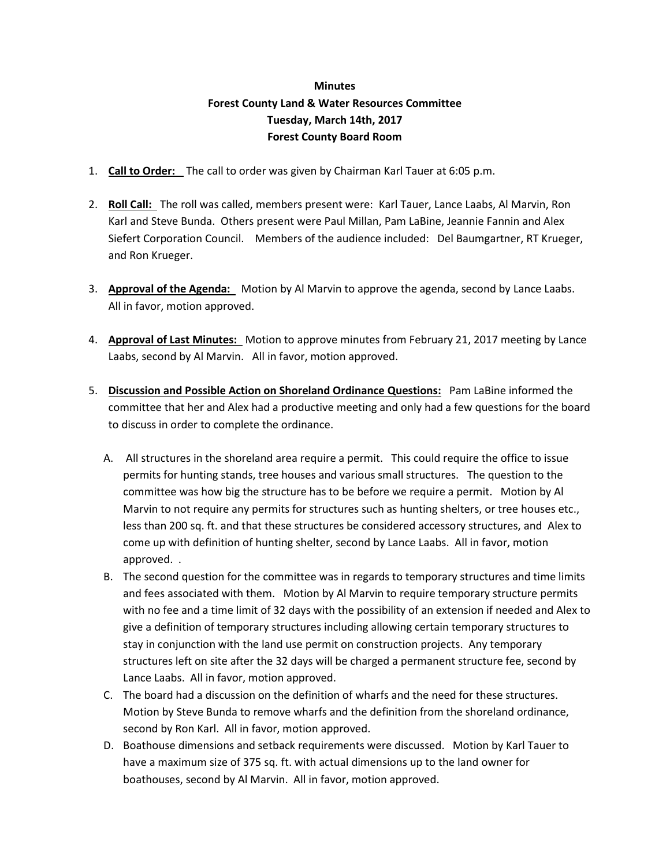## **Minutes Forest County Land & Water Resources Committee Tuesday, March 14th, 2017 Forest County Board Room**

- 1. **Call to Order:** The call to order was given by Chairman Karl Tauer at 6:05 p.m.
- 2. **Roll Call:** The roll was called, members present were: Karl Tauer, Lance Laabs, Al Marvin, Ron Karl and Steve Bunda. Others present were Paul Millan, Pam LaBine, Jeannie Fannin and Alex Siefert Corporation Council. Members of the audience included: Del Baumgartner, RT Krueger, and Ron Krueger.
- 3. **Approval of the Agenda:** Motion by Al Marvin to approve the agenda, second by Lance Laabs. All in favor, motion approved.
- 4. **Approval of Last Minutes:** Motion to approve minutes from February 21, 2017 meeting by Lance Laabs, second by Al Marvin. All in favor, motion approved.
- 5. **Discussion and Possible Action on Shoreland Ordinance Questions:** Pam LaBine informed the committee that her and Alex had a productive meeting and only had a few questions for the board to discuss in order to complete the ordinance.
	- A. All structures in the shoreland area require a permit. This could require the office to issue permits for hunting stands, tree houses and various small structures. The question to the committee was how big the structure has to be before we require a permit. Motion by Al Marvin to not require any permits for structures such as hunting shelters, or tree houses etc., less than 200 sq. ft. and that these structures be considered accessory structures, and Alex to come up with definition of hunting shelter, second by Lance Laabs. All in favor, motion approved. .
	- B. The second question for the committee was in regards to temporary structures and time limits and fees associated with them. Motion by Al Marvin to require temporary structure permits with no fee and a time limit of 32 days with the possibility of an extension if needed and Alex to give a definition of temporary structures including allowing certain temporary structures to stay in conjunction with the land use permit on construction projects. Any temporary structures left on site after the 32 days will be charged a permanent structure fee, second by Lance Laabs. All in favor, motion approved.
	- C. The board had a discussion on the definition of wharfs and the need for these structures. Motion by Steve Bunda to remove wharfs and the definition from the shoreland ordinance, second by Ron Karl. All in favor, motion approved.
	- D. Boathouse dimensions and setback requirements were discussed. Motion by Karl Tauer to have a maximum size of 375 sq. ft. with actual dimensions up to the land owner for boathouses, second by Al Marvin. All in favor, motion approved.